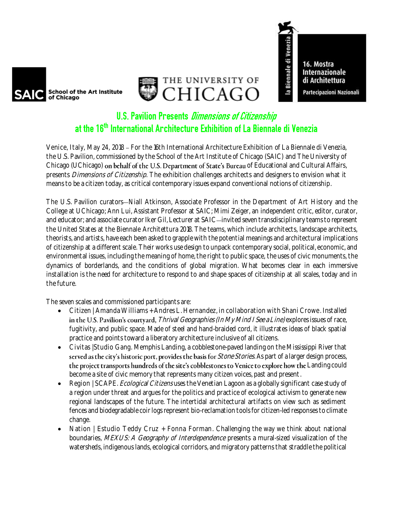



16. Mostra **Internazionale** di Architettura Partecipazioni Nazionali

la Biennale di Venezia

## **U.S. Pavilion Presents Dimensions of Citizenship** at the 16th International Architecture Exhibition of La Biennale di Venezia

Venice, Italy, May 24, 2018 - For the 16th International Architecture Exhibition of La Biennale di Venezia, the U.S. Pavilion, commissioned by the School of the Art Institute of Chicago (SAIC) and The University of Chicago (UChicago) on behalf of the U.S. Department of State's Bureau of Educational and Cultural Affairs, presents *Dimensions of Citizenship*. The exhibition challenges architects and designers to envision what it means to be a citizen today, as critical contemporary issues expand conventional notions of citizenship.

The U.S. Pavilion curators—Niall Atkinson, Associate Professor in the Department of Art History and the College at UChicago; Ann Lui, Assistant Professor at SAIC; Mimi Zeiger, an independent critic, editor, curator, and educator; and associate curator Iker Gil, Lecturer at SAIC-invited seven transdisciplinary teams to represent the United States at the Biennale Architettura 2018. The teams, which include architects, landscape architects, theorists, and artists, have each been asked to grapple with the potential meanings and architectural implications of citizenship at a different scale. Their works use design to unpack contemporary social, political, economic, and environmental issues, including the meaning of home, the right to public space, the uses of civic monuments, the dynamics of borderlands, and the conditions of global migration. What becomes clear in each immersive installation is the need for architecture to respond to and shape spaces of citizenship at all scales, today and in the future.

The seven scales and commissioned participants are:

- Citizen |Amanda Williams + Andres L. Hernandez, in collaboration with Shani Crowe . Installed in the U.S. Pavilion's courtyard, Thrival Geographies (In My Mind I See a Line) explores issues of race, fugitivity, and public space. Made of steel and hand-braided cord, it illustrates ideas of black spatial practice and points toward a liberatory architecture inclusive of all citizens.
- Civitas |Studio Gang. Memphis Landing, a cobblestone-paved landing on the Mississippi River that served as the city's historic port, provides the basis for *Stone Stories*. As part of a larger design process, the project transports hundreds of the site's cobblestones to Venice to explore how the Landing could become a site of civic memory that represents many citizen voices, past and present.
- Region | SCAPE. *Ecological Citizens* uses the Venetian Lagoon as a globally significant case study of a region under threat and argues for the politics and practice of ecological activism to generate new regional landscapes of the future. The intertidal architectural artifacts on view such as sediment fences and biodegradable coir logs represent bio-reclamation tools for citizen-led responses to climate change.
- Nation | Estudio Teddy Cruz + Fonna Forman. Challenging the way we think about national boundaries, MEXUS: A Geography of Interdependence presents a mural-sized visualization of the watersheds, indigenous lands, ecological corridors, and migratory patterns that straddle the political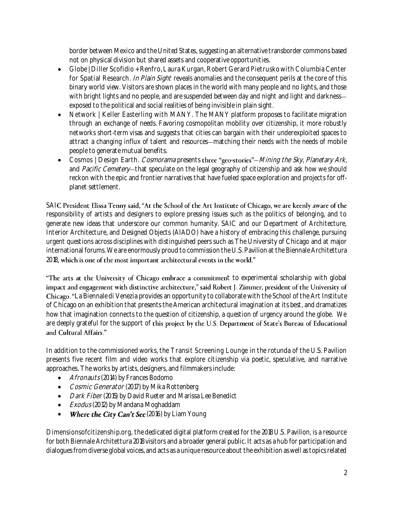border between Mexico and the United States, suggesting an alternative transborder commons based not on physical division but shared assets and cooperative opportunities.

- Globe |Diller Scofidio + Renfro, Laura Kurgan, Robert Gerard Pietrusko with Columbia Center for Spatial Research. In Plain Sight reveals anomalies and the consequent perils at the core of this binary world view. Visitors are shown places in the world with many people and no lights, and those with bright lights and no people, and are suspended between day and night and light and darknessexposed to the political and social realities of being invisible in plain sight.
- Network | Keller Easterling with MANY. The MANY platform proposes to facilitate migration through an exchange of needs. Favoring cosmopolitan mobility over citizenship, it more robustly networks short-term visas and suggests that cities can bargain with their underexploited spaces to attract a changing influx of talent and resources matching their needs with the needs of mobile people to generate mutual benefits.
- Cosmos | Design Earth. Cosmorama presents three "geo-stories"—Mining the Sky, Planetary Ark, and Pacific Cemetery-that speculate on the legal geography of citizenship and ask how we should reckon with the epic and frontier narratives that have fueled space exploration and projects for offplanet settlement.

SAIC President Elissa Tenny said, "At the School of the Art Institute of Chicago, we are keenly aware of the responsibility of artists and designers to explore pressing issues such as the politics of belonging, and to generate new ideas that underscore our common humanity. SAIC and our Department of Architecture, Interior Architecture, and Designed Objects (AIADO) have a history of embracing this challenge, pursuing urgent questions across disciplines with distinguished peers such as The University of Chicago and at major international forums. We are enormously proud to commission the U.S. Pavilion at the Biennale Architettura 2018, which is one of the most important architectural events in the world."

"The arts at the University of Chicago embrace a commitment to experimental scholarship with global impact and engagement with distinctive architecture," said Robert J. Zimmer, president of the University of Chicago. "La Biennale di Venezia provides an opportunity to collaborate with the School of the Art Institute of Chicago on an exhibition that presents the American architectural imagination at its best, and dramatizes how that imagination connects to the question of citizenship, a question of urgency around the globe. We are deeply grateful for the support of this project by the U.S. Department of State's Bureau of Educational and Cultural Affairs."

In addition to the commissioned works, the Transit Screening Lounge in the rotunda of the U.S. Pavilion presents five recent film and video works that explore citizenship via poetic, speculative, and narrative approaches. The works by artists, designers, and filmmakers include:

- Afronauts (2014) by Frances Bodomo
- Cosmic Generator (2017) by Mika Rottenberg
- *Dark Fiber* (2015) by David Rueter and Marissa Lee Benedict
- Exodus (2012) by Mandana Moghaddam
- Where the City Can't See (2016) by Liam Young

Dimensionsofcitizenship.org, the dedicated digital platform created for the 2018 U.S. Pavilion, is a resource for both Biennale Architettura 2018 visitors and a broader general public. It acts as a hub for participation and dialogues from diverse global voices, and acts as a unique resource about the exhibition as well as topics related